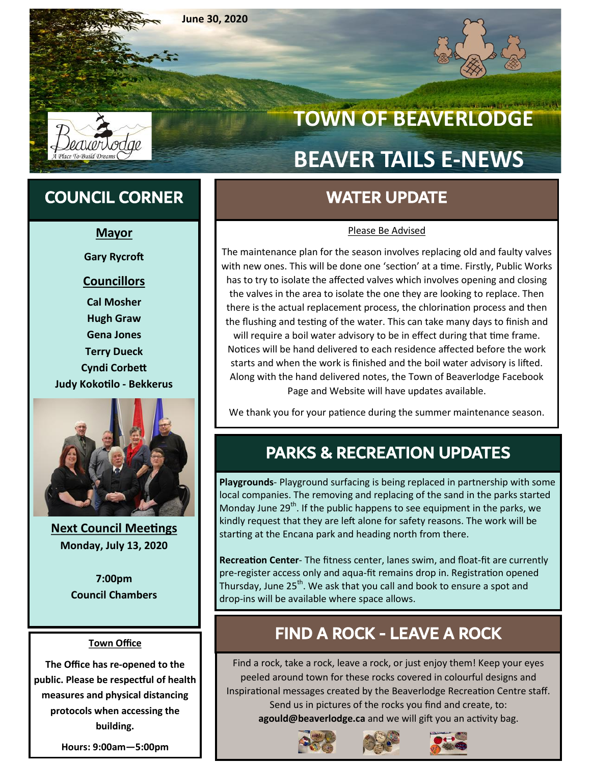**June 30, 2020**



**April 30, 2020**

# **TOWN OF BEAVERLODGE BEAVER TAILS E-NEWS**

## COUNCIL CORNER WATER UPDATE

#### **Mayor**

**Gary Rycroft**

### **Councillors**

**Cal Mosher Hugh Graw Gena Jones Terry Dueck Cyndi Corbett Judy Kokotilo - Bekkerus**



**Next Council Meetings Monday, July 13, 2020**

**7:00pm Council Chambers**

#### **Town Office**

**The Office has re-opened to the public. Please be respectful of health measures and physical distancing protocols when accessing the building.** 

**Hours: 9:00am—5:00pm** 

#### Please Be Advised

The maintenance plan for the season involves replacing old and faulty valves with new ones. This will be done one 'section' at a time. Firstly, Public Works has to try to isolate the affected valves which involves opening and closing the valves in the area to isolate the one they are looking to replace. Then there is the actual replacement process, the chlorination process and then the flushing and testing of the water. This can take many days to finish and will require a boil water advisory to be in effect during that time frame. Notices will be hand delivered to each residence affected before the work starts and when the work is finished and the boil water advisory is lifted. Along with the hand delivered notes, the Town of Beaverlodge Facebook Page and Website will have updates available.

We thank you for your patience during the summer maintenance season.

## PARKS & RECREATION UPDATES

**Playgrounds**- Playground surfacing is being replaced in partnership with some local companies. The removing and replacing of the sand in the parks started Monday June  $29<sup>th</sup>$ . If the public happens to see equipment in the parks, we kindly request that they are left alone for safety reasons. The work will be starting at the Encana park and heading north from there.

**Recreation Center**- The fitness center, lanes swim, and float-fit are currently pre-register access only and aqua-fit remains drop in. Registration opened Thursday, June 25<sup>th</sup>. We ask that you call and book to ensure a spot and drop-ins will be available where space allows.

## FIND A ROCK - LEAVE A ROCK

Find a rock, take a rock, leave a rock, or just enjoy them! Keep your eyes peeled around town for these rocks covered in colourful designs and Inspirational messages created by the Beaverlodge Recreation Centre staff. Send us in pictures of the rocks you find and create, to: **agould@beaverlodge.ca** and we will gift you an activity bag.